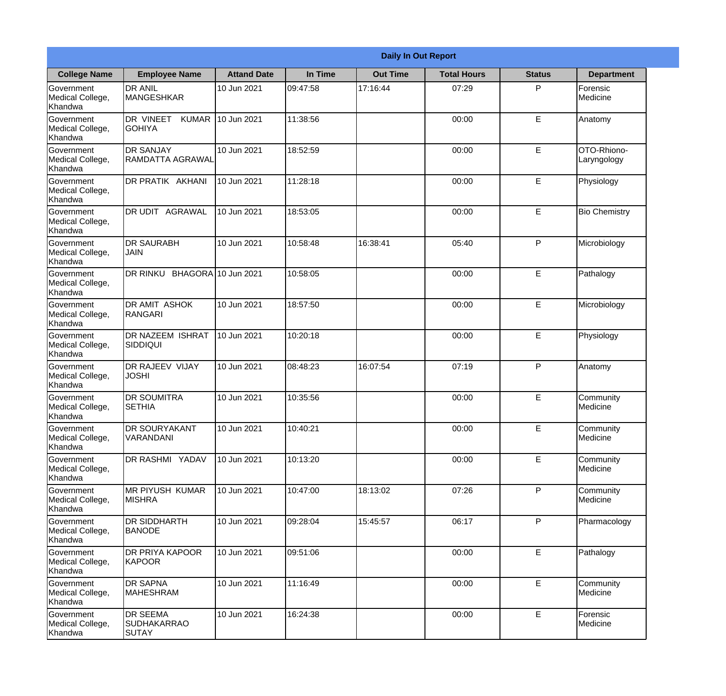|                                           | <b>Daily In Out Report</b>                     |                     |          |                 |                    |               |                            |  |
|-------------------------------------------|------------------------------------------------|---------------------|----------|-----------------|--------------------|---------------|----------------------------|--|
| <b>College Name</b>                       | <b>Employee Name</b>                           | <b>Attand Date</b>  | In Time  | <b>Out Time</b> | <b>Total Hours</b> | <b>Status</b> | <b>Department</b>          |  |
| Government<br>Medical College,<br>Khandwa | <b>DR ANIL</b><br><b>MANGESHKAR</b>            | 10 Jun 2021         | 09:47:58 | 17:16:44        | 07:29              | P             | Forensic<br>Medicine       |  |
| Government<br>Medical College,<br>Khandwa | DR VINEET<br><b>KUMAR</b><br><b>GOHIYA</b>     | 10 Jun 2021         | 11:38:56 |                 | 00:00              | E             | Anatomy                    |  |
| Government<br>Medical College,<br>Khandwa | <b>DR SANJAY</b><br><b>RAMDATTA AGRAWAL</b>    | 10 Jun 2021         | 18:52:59 |                 | 00:00              | E             | OTO-Rhiono-<br>Laryngology |  |
| Government<br>Medical College,<br>Khandwa | DR PRATIK AKHANI                               | 10 Jun 2021         | 11:28:18 |                 | 00:00              | E             | Physiology                 |  |
| Government<br>Medical College,<br>Khandwa | DR UDIT AGRAWAL                                | 10 Jun 2021         | 18:53:05 |                 | 00:00              | E             | <b>Bio Chemistry</b>       |  |
| Government<br>Medical College,<br>Khandwa | <b>DR SAURABH</b><br><b>JAIN</b>               | 10 Jun 2021         | 10:58:48 | 16:38:41        | 05:40              | P             | Microbiology               |  |
| Government<br>Medical College,<br>Khandwa | DR RINKU                                       | BHAGORA 10 Jun 2021 | 10:58:05 |                 | 00:00              | E             | Pathalogy                  |  |
| Government<br>Medical College,<br>Khandwa | <b>DR AMIT ASHOK</b><br>RANGARI                | 10 Jun 2021         | 18:57:50 |                 | 00:00              | E             | Microbiology               |  |
| Government<br>Medical College,<br>Khandwa | <b>DR NAZEEM ISHRAT</b><br><b>SIDDIQUI</b>     | 10 Jun 2021         | 10:20:18 |                 | 00:00              | E             | Physiology                 |  |
| Government<br>Medical College,<br>Khandwa | DR RAJEEV VIJAY<br><b>JOSHI</b>                | 10 Jun 2021         | 08:48:23 | 16:07:54        | 07:19              | P             | Anatomy                    |  |
| Government<br>Medical College,<br>Khandwa | <b>DR SOUMITRA</b><br><b>SETHIA</b>            | 10 Jun 2021         | 10:35:56 |                 | 00:00              | E             | Community<br>Medicine      |  |
| Government<br>Medical College,<br>Khandwa | <b>DR SOURYAKANT</b><br>VARANDANI              | 10 Jun 2021         | 10:40:21 |                 | 00:00              | E             | Community<br>Medicine      |  |
| Government<br>Medical College,<br>Khandwa | DR RASHMI YADAV                                | 10 Jun 2021         | 10:13:20 |                 | 00:00              | E             | Community<br>Medicine      |  |
| Government<br>Medical College,<br>Khandwa | <b>MR PIYUSH KUMAR</b><br><b>MISHRA</b>        | 10 Jun 2021         | 10:47:00 | 18:13:02        | 07:26              | $\mathsf{P}$  | Community<br>Medicine      |  |
| Government<br>Medical College,<br>Khandwa | DR SIDDHARTH<br><b>BANODE</b>                  | 10 Jun 2021         | 09:28:04 | 15:45:57        | 06:17              | $\mathsf{P}$  | Pharmacology               |  |
| Government<br>Medical College,<br>Khandwa | <b>DR PRIYA KAPOOR</b><br>KAPOOR               | 10 Jun 2021         | 09:51:06 |                 | 00:00              | $\mathsf E$   | Pathalogy                  |  |
| Government<br>Medical College,<br>Khandwa | <b>DR SAPNA</b><br><b>MAHESHRAM</b>            | 10 Jun 2021         | 11:16:49 |                 | 00:00              | E             | Community<br>Medicine      |  |
| Government<br>Medical College,<br>Khandwa | DR SEEMA<br><b>SUDHAKARRAO</b><br><b>SUTAY</b> | 10 Jun 2021         | 16:24:38 |                 | 00:00              | E             | Forensic<br>Medicine       |  |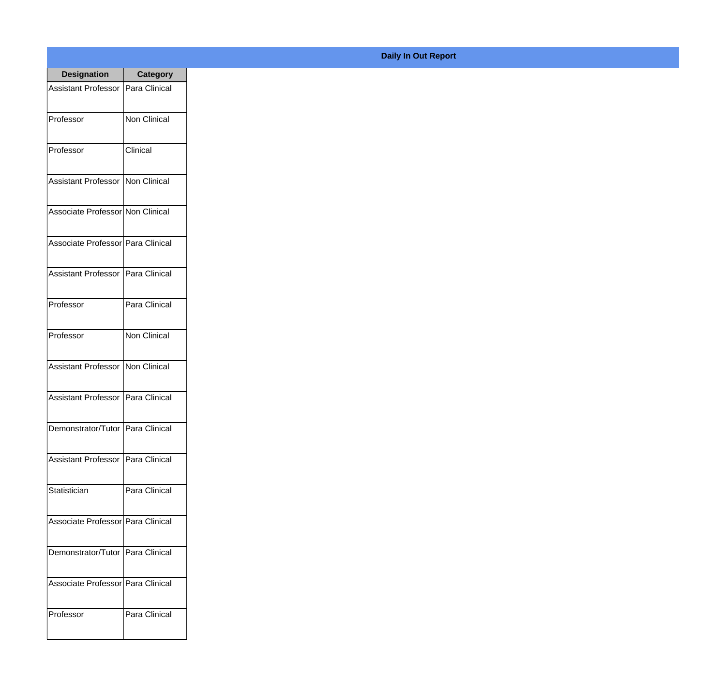| <b>Designation</b>                  | <b>Category</b>      |
|-------------------------------------|----------------------|
| <b>Assistant Professor</b>          | Para Clinical        |
| Professor                           | <b>Non Clinical</b>  |
| Professor                           | Clinical             |
| Assistant Professor                 | Non Clinical         |
| Associate Professor Non Clinical    |                      |
| Associate Professor Para Clinical   |                      |
| Assistant Professor   Para Clinical |                      |
| Professor                           | Para Clinical        |
| Professor                           | <b>Non Clinical</b>  |
| <b>Assistant Professor</b>          | Non Clinical         |
| <b>Assistant Professor</b>          | Para Clinical        |
| Demonstrator/Tutor                  | Para Clinical        |
| <b>Assistant Professor</b>          | <b>Para Clinical</b> |
| Statistician                        | Para Clinical        |
| Associate Professor Para Clinical   |                      |
| Demonstrator/Tutor                  | Para Clinical        |
| Associate Professor   Para Clinical |                      |
| Professor                           | Para Clinical        |

## **Daily In Out Report**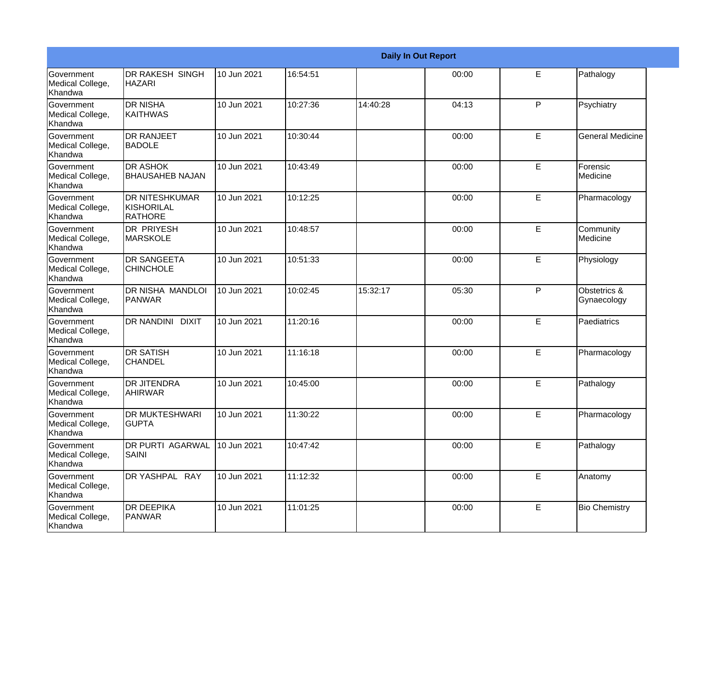|                                                  | <b>Daily In Out Report</b>                     |             |          |          |       |    |                             |
|--------------------------------------------------|------------------------------------------------|-------------|----------|----------|-------|----|-----------------------------|
| Government<br>Medical College,<br>Khandwa        | <b>DR RAKESH SINGH</b><br><b>HAZARI</b>        | 10 Jun 2021 | 16:54:51 |          | 00:00 | E  | Pathalogy                   |
| Government<br>Medical College,<br>Khandwa        | <b>DR NISHA</b><br>KAITHWAS                    | 10 Jun 2021 | 10:27:36 | 14:40:28 | 04:13 | P  | Psychiatry                  |
| <b>Government</b><br>Medical College,<br>Khandwa | <b>DR RANJEET</b><br><b>BADOLE</b>             | 10 Jun 2021 | 10:30:44 |          | 00:00 | E  | <b>General Medicine</b>     |
| <b>Government</b><br>Medical College,<br>Khandwa | <b>DR ASHOK</b><br><b>BHAUSAHEB NAJAN</b>      | 10 Jun 2021 | 10:43:49 |          | 00:00 | E  | Forensic<br>Medicine        |
| Government<br>Medical College,<br>Khandwa        | <b>DR NITESHKUMAR</b><br>KISHORILAL<br>RATHORE | 10 Jun 2021 | 10:12:25 |          | 00:00 | E  | Pharmacology                |
| <b>Government</b><br>Medical College,<br>Khandwa | <b>DR PRIYESH</b><br>MARSKOLE                  | 10 Jun 2021 | 10:48:57 |          | 00:00 | E  | Community<br>Medicine       |
| Government<br>Medical College,<br>Khandwa        | <b>DR SANGEETA</b><br><b>CHINCHOLE</b>         | 10 Jun 2021 | 10:51:33 |          | 00:00 | E  | Physiology                  |
| Government<br>Medical College,<br>Khandwa        | DR NISHA MANDLOI<br>PANWAR                     | 10 Jun 2021 | 10:02:45 | 15:32:17 | 05:30 | P  | Obstetrics &<br>Gynaecology |
| Government<br>Medical College,<br>Khandwa        | <b>DR NANDINI DIXIT</b>                        | 10 Jun 2021 | 11:20:16 |          | 00:00 | E  | Paediatrics                 |
| Government<br>Medical College,<br>Khandwa        | <b>DR SATISH</b><br>CHANDEL                    | 10 Jun 2021 | 11:16:18 |          | 00:00 | E  | Pharmacology                |
| Government<br>Medical College,<br>Khandwa        | <b>DR JITENDRA</b><br><b>AHIRWAR</b>           | 10 Jun 2021 | 10:45:00 |          | 00:00 | E  | Pathalogy                   |
| Government<br>Medical College,<br>Khandwa        | <b>DR MUKTESHWARI</b><br><b>GUPTA</b>          | 10 Jun 2021 | 11:30:22 |          | 00:00 | E  | Pharmacology                |
| Government<br>Medical College,<br>Khandwa        | <b>DR PURTI AGARWAL</b><br><b>SAINI</b>        | 10 Jun 2021 | 10:47:42 |          | 00:00 | E  | Pathalogy                   |
| Government<br>Medical College,<br>Khandwa        | DR YASHPAL RAY                                 | 10 Jun 2021 | 11:12:32 |          | 00:00 | E. | Anatomy                     |
| Government<br>Medical College,<br>Khandwa        | <b>DR DEEPIKA</b><br>PANWAR                    | 10 Jun 2021 | 11:01:25 |          | 00:00 | E  | <b>Bio Chemistry</b>        |